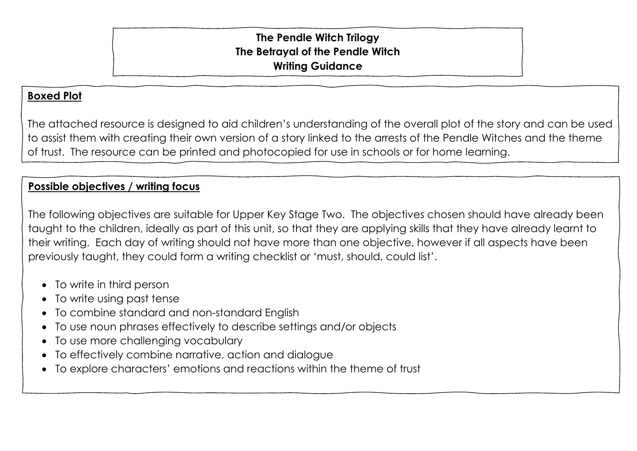## **The Pendle Witch Trilogy The Betrayal of the Pendle Witch Writing Guidance**

## **Boxed Plot**

The attached resource is designed to aid children's understanding of the overall plot of the story and can be used to assist them with creating their own version of a story linked to the arrests of the Pendle Witches and the theme of trust. The resource can be printed and photocopied for use in schools or for home learning.

## **Possible objectives / writing focus**

The following objectives are suitable for Upper Key Stage Two. The objectives chosen should have already been taught to the children, ideally as part of this unit, so that they are applying skills that they have already learnt to their writing. Each day of writing should not have more than one objective, however if all aspects have been previously taught, they could form a writing checklist or 'must, should, could list'.

- To write in third person
- To write using past tense
- To combine standard and non-standard English
- To use noun phrases effectively to describe settings and/or objects
- To use more challenging vocabulary
- To effectively combine narrative, action and dialogue
- To explore characters' emotions and reactions within the theme of trust